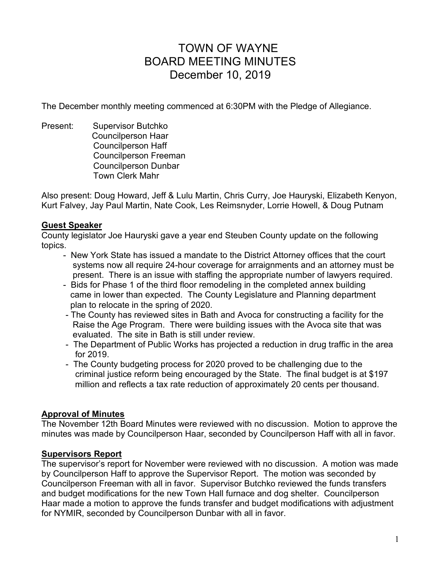# TOWN OF WAYNE BOARD MEETING MINUTES December 10, 2019

The December monthly meeting commenced at 6:30PM with the Pledge of Allegiance.

Present: Supervisor Butchko Councilperson Haar Councilperson Haff Councilperson Freeman Councilperson Dunbar Town Clerk Mahr

Also present: Doug Howard, Jeff & Lulu Martin, Chris Curry, Joe Hauryski, Elizabeth Kenyon, Kurt Falvey, Jay Paul Martin, Nate Cook, Les Reimsnyder, Lorrie Howell, & Doug Putnam

# **Guest Speaker**

County legislator Joe Hauryski gave a year end Steuben County update on the following topics.

- New York State has issued a mandate to the District Attorney offices that the court systems now all require 24-hour coverage for arraignments and an attorney must be present. There is an issue with staffing the appropriate number of lawyers required.
- Bids for Phase 1 of the third floor remodeling in the completed annex building came in lower than expected. The County Legislature and Planning department plan to relocate in the spring of 2020.
- The County has reviewed sites in Bath and Avoca for constructing a facility for the Raise the Age Program. There were building issues with the Avoca site that was evaluated. The site in Bath is still under review.
- The Department of Public Works has projected a reduction in drug traffic in the area for 2019.
- The County budgeting process for 2020 proved to be challenging due to the criminal justice reform being encouraged by the State. The final budget is at \$197 million and reflects a tax rate reduction of approximately 20 cents per thousand.

# **Approval of Minutes**

The November 12th Board Minutes were reviewed with no discussion. Motion to approve the minutes was made by Councilperson Haar, seconded by Councilperson Haff with all in favor.

# **Supervisors Report**

The supervisor's report for November were reviewed with no discussion. A motion was made by Councilperson Haff to approve the Supervisor Report. The motion was seconded by Councilperson Freeman with all in favor. Supervisor Butchko reviewed the funds transfers and budget modifications for the new Town Hall furnace and dog shelter. Councilperson Haar made a motion to approve the funds transfer and budget modifications with adjustment for NYMIR, seconded by Councilperson Dunbar with all in favor.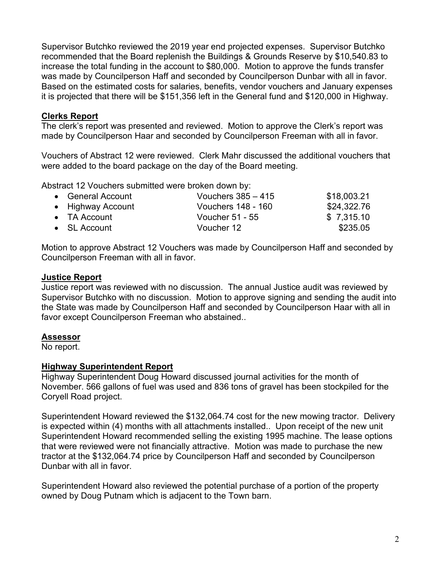Supervisor Butchko reviewed the 2019 year end projected expenses. Supervisor Butchko recommended that the Board replenish the Buildings & Grounds Reserve by \$10,540.83 to increase the total funding in the account to \$80,000. Motion to approve the funds transfer was made by Councilperson Haff and seconded by Councilperson Dunbar with all in favor. Based on the estimated costs for salaries, benefits, vendor vouchers and January expenses it is projected that there will be \$151,356 left in the General fund and \$120,000 in Highway.

#### **Clerks Report**

The clerk's report was presented and reviewed. Motion to approve the Clerk's report was made by Councilperson Haar and seconded by Councilperson Freeman with all in favor.

Vouchers of Abstract 12 were reviewed. Clerk Mahr discussed the additional vouchers that were added to the board package on the day of the Board meeting.

Abstract 12 Vouchers submitted were broken down by:

| • General Account    | Vouchers $385 - 415$ | \$18,003.21 |
|----------------------|----------------------|-------------|
| • Highway Account    | Vouchers 148 - 160   | \$24,322.76 |
| $\bullet$ TA Account | Voucher 51 - 55      | \$7,315.10  |
| $\bullet$ SL Account | Voucher 12           | \$235.05    |

Motion to approve Abstract 12 Vouchers was made by Councilperson Haff and seconded by Councilperson Freeman with all in favor.

## **Justice Report**

Justice report was reviewed with no discussion. The annual Justice audit was reviewed by Supervisor Butchko with no discussion. Motion to approve signing and sending the audit into the State was made by Councilperson Haff and seconded by Councilperson Haar with all in favor except Councilperson Freeman who abstained..

# **Assessor**

No report.

# **Highway Superintendent Report**

Highway Superintendent Doug Howard discussed journal activities for the month of November. 566 gallons of fuel was used and 836 tons of gravel has been stockpiled for the Coryell Road project.

Superintendent Howard reviewed the \$132,064.74 cost for the new mowing tractor. Delivery is expected within (4) months with all attachments installed.. Upon receipt of the new unit Superintendent Howard recommended selling the existing 1995 machine. The lease options that were reviewed were not financially attractive. Motion was made to purchase the new tractor at the \$132,064.74 price by Councilperson Haff and seconded by Councilperson Dunbar with all in favor.

Superintendent Howard also reviewed the potential purchase of a portion of the property owned by Doug Putnam which is adjacent to the Town barn.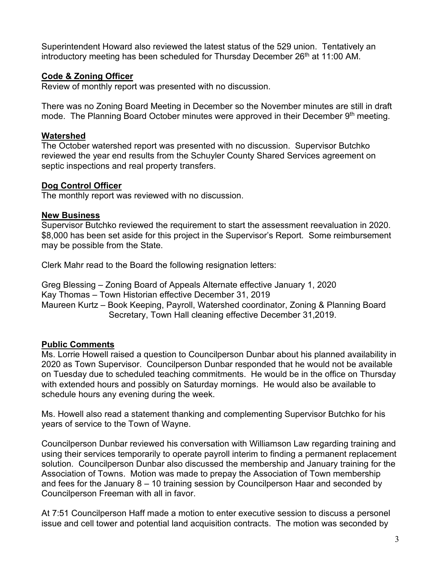Superintendent Howard also reviewed the latest status of the 529 union. Tentatively an introductory meeting has been scheduled for Thursday December  $26<sup>th</sup>$  at 11:00 AM.

## **Code & Zoning Officer**

Review of monthly report was presented with no discussion.

There was no Zoning Board Meeting in December so the November minutes are still in draft mode. The Planning Board October minutes were approved in their December 9th meeting.

#### **Watershed**

The October watershed report was presented with no discussion. Supervisor Butchko reviewed the year end results from the Schuyler County Shared Services agreement on septic inspections and real property transfers.

#### **Dog Control Officer**

The monthly report was reviewed with no discussion.

#### **New Business**

Supervisor Butchko reviewed the requirement to start the assessment reevaluation in 2020. \$8,000 has been set aside for this project in the Supervisor's Report. Some reimbursement may be possible from the State.

Clerk Mahr read to the Board the following resignation letters:

Greg Blessing – Zoning Board of Appeals Alternate effective January 1, 2020 Kay Thomas – Town Historian effective December 31, 2019 Maureen Kurtz – Book Keeping, Payroll, Watershed coordinator, Zoning & Planning Board Secretary, Town Hall cleaning effective December 31,2019.

#### **Public Comments**

Ms. Lorrie Howell raised a question to Councilperson Dunbar about his planned availability in 2020 as Town Supervisor. Councilperson Dunbar responded that he would not be available on Tuesday due to scheduled teaching commitments. He would be in the office on Thursday with extended hours and possibly on Saturday mornings. He would also be available to schedule hours any evening during the week.

Ms. Howell also read a statement thanking and complementing Supervisor Butchko for his years of service to the Town of Wayne.

Councilperson Dunbar reviewed his conversation with Williamson Law regarding training and using their services temporarily to operate payroll interim to finding a permanent replacement solution. Councilperson Dunbar also discussed the membership and January training for the Association of Towns. Motion was made to prepay the Association of Town membership and fees for the January 8 – 10 training session by Councilperson Haar and seconded by Councilperson Freeman with all in favor.

At 7:51 Councilperson Haff made a motion to enter executive session to discuss a personel issue and cell tower and potential land acquisition contracts. The motion was seconded by